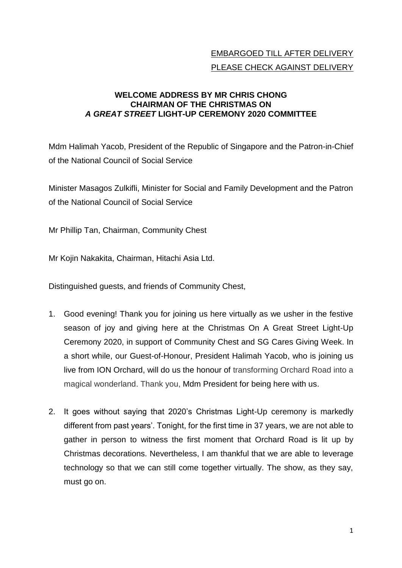## EMBARGOED TILL AFTER DELIVERY PLEASE CHECK AGAINST DELIVERY

## **WELCOME ADDRESS BY MR CHRIS CHONG CHAIRMAN OF THE CHRISTMAS ON**  *A GREAT STREET* **LIGHT-UP CEREMONY 2020 COMMITTEE**

Mdm Halimah Yacob, President of the Republic of Singapore and the Patron-in-Chief of the National Council of Social Service

Minister Masagos Zulkifli, Minister for Social and Family Development and the Patron of the National Council of Social Service

Mr Phillip Tan, Chairman, Community Chest

Mr Kojin Nakakita, Chairman, Hitachi Asia Ltd.

Distinguished guests, and friends of Community Chest,

- 1. Good evening! Thank you for joining us here virtually as we usher in the festive season of joy and giving here at the Christmas On A Great Street Light-Up Ceremony 2020, in support of Community Chest and SG Cares Giving Week. In a short while, our Guest-of-Honour, President Halimah Yacob, who is joining us live from ION Orchard, will do us the honour of transforming Orchard Road into a magical wonderland. Thank you, Mdm President for being here with us.
- 2. It goes without saying that 2020's Christmas Light-Up ceremony is markedly different from past years'. Tonight, for the first time in 37 years, we are not able to gather in person to witness the first moment that Orchard Road is lit up by Christmas decorations. Nevertheless, I am thankful that we are able to leverage technology so that we can still come together virtually. The show, as they say, must go on.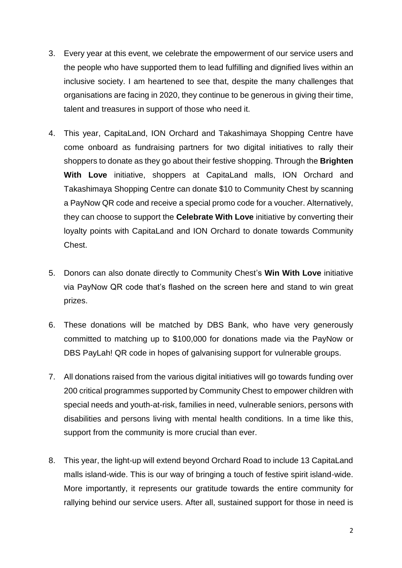- 3. Every year at this event, we celebrate the empowerment of our service users and the people who have supported them to lead fulfilling and dignified lives within an inclusive society. I am heartened to see that, despite the many challenges that organisations are facing in 2020, they continue to be generous in giving their time, talent and treasures in support of those who need it.
- 4. This year, CapitaLand, ION Orchard and Takashimaya Shopping Centre have come onboard as fundraising partners for two digital initiatives to rally their shoppers to donate as they go about their festive shopping. Through the **Brighten With Love** initiative, shoppers at CapitaLand malls, ION Orchard and Takashimaya Shopping Centre can donate \$10 to Community Chest by scanning a PayNow QR code and receive a special promo code for a voucher. Alternatively, they can choose to support the **Celebrate With Love** initiative by converting their loyalty points with CapitaLand and ION Orchard to donate towards Community Chest.
- 5. Donors can also donate directly to Community Chest's **Win With Love** initiative via PayNow QR code that's flashed on the screen here and stand to win great prizes.
- 6. These donations will be matched by DBS Bank, who have very generously committed to matching up to \$100,000 for donations made via the PayNow or DBS PayLah! QR code in hopes of galvanising support for vulnerable groups.
- 7. All donations raised from the various digital initiatives will go towards funding over 200 critical programmes supported by Community Chest to empower children with special needs and youth-at-risk, families in need, vulnerable seniors, persons with disabilities and persons living with mental health conditions. In a time like this, support from the community is more crucial than ever.
- 8. This year, the light-up will extend beyond Orchard Road to include 13 CapitaLand malls island-wide. This is our way of bringing a touch of festive spirit island-wide. More importantly, it represents our gratitude towards the entire community for rallying behind our service users. After all, sustained support for those in need is